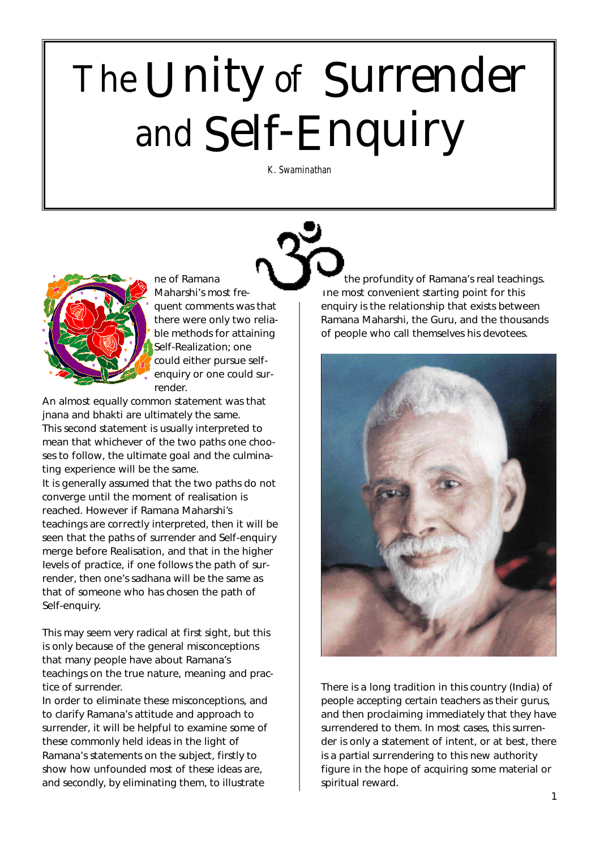## *The* Unity *of* Surrender and Self-Enquiry

*K. Swaminathan*



ne of Ramana Maharshi's most frequent comments was that there were only two reliable methods for attaining Self-Realization; one could either pursue selfenquiry or one could surrender.

An almost equally common statement was that jnana and bhakti are ultimately the same. This second statement is usually interpreted to mean that whichever of the two paths one chooses to follow, the ultimate goal and the culminating experience will be the same.

It is generally assumed that the two paths do not converge until the moment of realisation is reached. However if Ramana Maharshi's teachings are correctly interpreted, then it will be seen that the paths of surrender and Self-enquiry merge before Realisation, and that in the higher Ievels of practice, if one follows the path of surrender, then one's sadhana will be the same as that of someone who has chosen the path of Self-enquiry.

This may seem very radical at first sight, but this is only because of the general misconceptions that many people have about Ramana's teachings on the true nature, meaning and practice of surrender.

In order to eliminate these misconceptions, and to clarify Ramana's attitude and approach to surrender, it will be helpful to examine some of these commonly held ideas in the light of Ramana's statements on the subject, firstly to show how unfounded most of these ideas are, and secondly, by eliminating them, to illustrate

the profundity of Ramana's real teachings. The most convenient starting point for this enquiry is the relationship that exists between Ramana Maharshi, the Guru, and the thousands of people who call themselves his devotees.



There is a long tradition in this country (India) of people accepting certain teachers as their gurus, and then proclaiming immediately that they have surrendered to them. In most cases, this surrender is only a statement of intent, or at best, there is a partial surrendering to this new authority figure in the hope of acquiring some material or spiritual reward.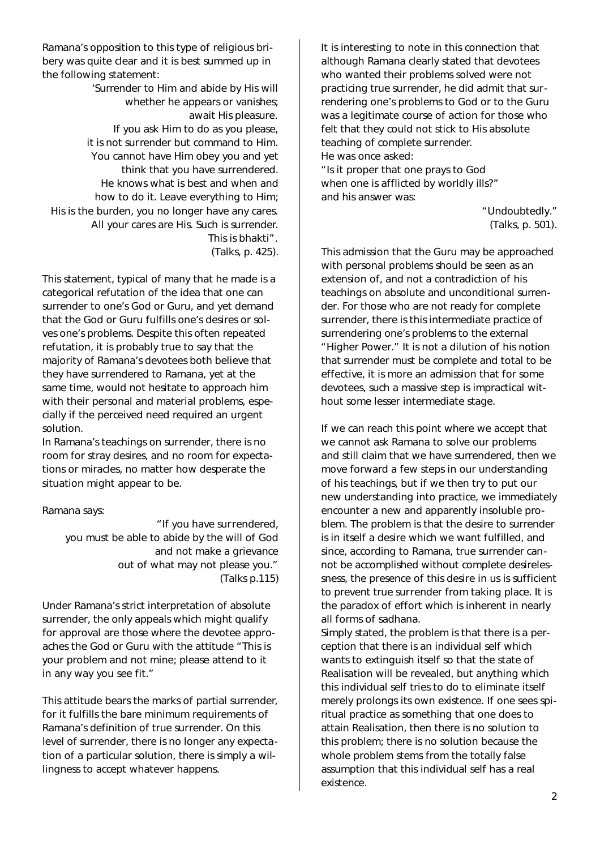Ramana's opposition to this type of religious bribery was quite clear and it is best summed up in the following statement:

*'Surrender to Him and abide by His will whether he appears or vanishes; await His pleasure. If you ask Him to do as you please, it is not surrender but command to Him. You cannot have Him obey you and yet think that you have surrendered. He knows what is best and when and how to do it. Leave everything to Him; His is the burden, you no longer have any cares. All your cares are His. Such is surrender. This is bhakti". (Talks, p. 425).* 

This statement, typical of many that he made is a categorical refutation of the idea that one can surrender to one's God or Guru, and yet demand that the God or Guru fulfills one's desires or solves one's problems. Despite this often repeated refutation, it is probably true to say that the majority of Ramana's devotees both believe that they have surrendered to Ramana, yet at the same time, would not hesitate to approach him with their personal and material problems, especially if the perceived need required an urgent solution.

In Ramana's teachings on surrender, there is no room for stray desires, and no room for expectations or miracles, no matter how desperate the situation might appear to be.

Ramana says:

*"If you have surrendered, you must be able to abide by the will of God and not make a grievance out of what may not please you." (Talks p.115)*

Under Ramana's strict interpretation of absolute surrender, the only appeals which might qualify for approval are those where the devotee approaches the God or Guru with the attitude "This is your problem and not mine; please attend to it in any way you see fit."

This attitude bears the marks of partial surrender, for it fulfills the bare minimum requirements of Ramana's definition of true surrender. On this level of surrender, there is no longer any expectation of a particular solution, there is simply a willingness to accept whatever happens.

It is interesting to note in this connection that although Ramana clearly stated that devotees who wanted their problems solved were not practicing true surrender, he did admit that surrendering one's problems to God or to the Guru was a legitimate course of action for those who felt that they could not stick to His absolute teaching of complete surrender. He was once asked:

"Is it proper that one prays to God when one is afflicted by worldly ills?" and his answer was:

> *"Undoubtedly." (Talks, p. 501).*

This admission that the Guru may be approached with personal problems should be seen as an extension of, and not a contradiction of his teachings on absolute and unconditional surrender. For those who are not ready for complete surrender, there is this intermediate practice of surrendering one's problems to the external "Higher Power." It is not a dilution of his notion that surrender must be complete and total to be effective, it is more an admission that for some devotees, such a massive step is impractical without some lesser intermediate stage.

If we can reach this point where we accept that we cannot ask Ramana to solve our problems and still claim that we have surrendered, then we move forward a few steps in our understanding of his teachings, but if we then try to put our new understanding into practice, we immediately encounter a new and apparently insoluble problem. The problem is that the desire to surrender is in itself a desire which we want fulfilled, and since, according to Ramana, true surrender cannot be accomplished without complete desirelessness, the presence of this desire in us is sufficient to prevent true surrender from taking place. It is the paradox of effort which is inherent in nearly all forms of sadhana.

Simply stated, the problem is that there is a perception that there is an individual self which wants to extinguish itself so that the state of Realisation will be revealed, but anything which this individual self tries to do to eliminate itself merely prolongs its own existence. If one sees spiritual practice as something that one does to attain Realisation, then there is no solution to this problem; there is no solution because the whole problem stems from the totally false assumption that this individual self has a real existence.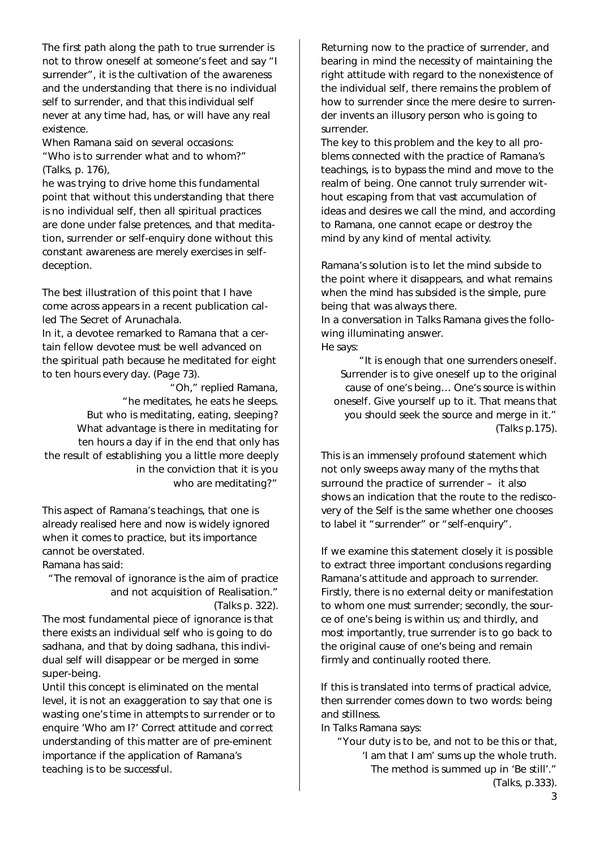The first path along the path to true surrender is not to throw oneself at someone's feet and say "I surrender", it is the cultivation of the awareness and the understanding that there is no individual self to surrender, and that this individual self never at any time had, has, or will have any real existence.

When Ramana said on several occasions: "Who is to surrender what and to whom?" (Talks, p. 176),

he was trying to drive home this fundamental point that without this understanding that there is no individual self, then all spiritual practices are done under false pretences, and that meditation, surrender or self-enquiry done without this constant awareness are merely exercises in selfdeception.

The best illustration of this point that I have come across appears in a recent publication called The Secret of Arunachala.

In it, a devotee remarked to Ramana that a certain fellow devotee must be well advanced on the spiritual path because he meditated for eight to ten hours every day. (Page 73).

*"Oh,"* replied Ramana, *"he meditates, he eats he sleeps. But who is meditating, eating, sleeping? What advantage is there in meditating for ten hours a day if in the end that only has the result of establishing you a little more deeply in the conviction that it is you who are meditating?"*

This aspect of Ramana's teachings, that one is already realised here and now is widely ignored when it comes to practice, but its importance cannot be overstated.

Ramana has said:

*"The removal of ignorance is the aim of practice and not acquisition of Realisation." (Talks p. 322).* 

The most fundamental piece of ignorance is that there exists an individual self who is going to do sadhana, and that by doing sadhana, this individual self will disappear or be merged in some super-being.

Until this concept is eliminated on the mental level, it is not an exaggeration to say that one is wasting one's time in attempts to surrender or to enquire 'Who am I?' Correct attitude and correct understanding of this matter are of pre-eminent importance if the application of Ramana's teaching is to be successful.

Returning now to the practice of surrender, and bearing in mind the necessity of maintaining the right attitude with regard to the nonexistence of the individual self, there remains the problem of how to surrender since the mere desire to surrender invents an illusory person who is going to surrender.

The key to this problem and the key to all problems connected with the practice of Ramana's teachings, is to bypass the mind and move to the realm of being. One cannot truly surrender without escaping from that vast accumulation of ideas and desires we call the mind, and according to Ramana, one cannot ecape or destroy the mind by any kind of mental activity.

Ramana's solution is to let the mind subside to the point where it disappears, and what remains when the mind has subsided is the simple, pure being that was always there.

In a conversation in Talks Ramana gives the following illuminating answer.

He says:

*"It is enough that one surrenders oneself. Surrender is to give oneself up to the original cause of one's being… One's source is within oneself. Give yourself up to it. That means that you should seek the source and merge in it." (Talks p.175).*

This is an immensely profound statement which not only sweeps away many of the myths that surround the practice of surrender – it also shows an indication that the route to the rediscovery of the Self is the same whether one chooses to label it "surrender" or "self-enquiry".

If we examine this statement closely it is possible to extract three important conclusions regarding Ramana's attitude and approach to surrender. Firstly, there is no external deity or manifestation to whom one must surrender; secondly, the source of one's being is within us; and thirdly, and most importantly, true surrender is to go back to the original cause of one's being and remain firmly and continually rooted there.

If this is translated into terms of practical advice, then surrender comes down to two words: being and stillness.

In Talks Ramana says:

*"Your duty is to be, and not to be this or that, 'I am that I am' sums up the whole truth. The method is summed up in 'Be still'." (Talks, p.333).*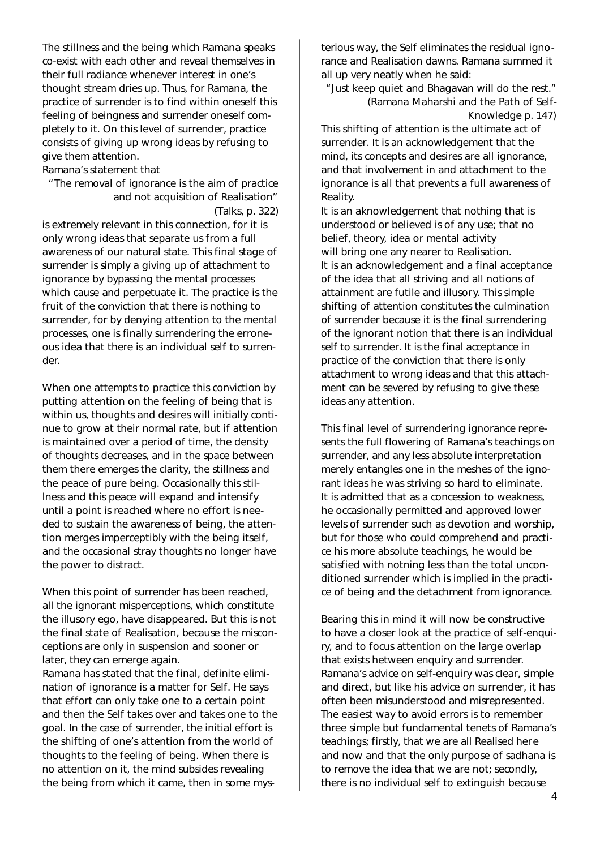The stillness and the being which Ramana speaks co-exist with each other and reveal themselves in their full radiance whenever interest in one's thought stream dries up. Thus, for Ramana, the practice of surrender is to find within oneself this feeling of beingness and surrender oneself completely to it. On this level of surrender, practice consists of giving up wrong ideas by refusing to give them attention.

## Ramana's statement that

*"The removal of ignorance is the aim of practice and not acquisition of Realisation" (Talks, p. 322)* 

is extremely relevant in this connection, for it is only wrong ideas that separate us from a full awareness of our natural state. This final stage of surrender is simply a giving up of attachment to ignorance by bypassing the mental processes which cause and perpetuate it. The practice is the fruit of the conviction that there is nothing to surrender, for by denying attention to the mental processes, one is finally surrendering the erroneous idea that there is an individual self to surrender.

When one attempts to practice this conviction by putting attention on the feeling of being that is within us, thoughts and desires will initially continue to grow at their normal rate, but if attention is maintained over a period of time, the density of thoughts decreases, and in the space between them there emerges the clarity, the stillness and the peace of pure being. Occasionally this stillness and this peace will expand and intensify until a point is reached where no effort is needed to sustain the awareness of being, the attention merges imperceptibly with the being itself, and the occasional stray thoughts no longer have the power to distract.

When this point of surrender has been reached, all the ignorant misperceptions, which constitute the illusory ego, have disappeared. But this is not the final state of Realisation, because the misconceptions are only in suspension and sooner or later, they can emerge again.

Ramana has stated that the final, definite elimination of ignorance is a matter for Self. He says that effort can only take one to a certain point and then the Self takes over and takes one to the goal. In the case of surrender, the initial effort is the shifting of one's attention from the world of thoughts to the feeling of being. When there is no attention on it, the mind subsides revealing the being from which it came, then in some mysterious way, the Self eliminates the residual ignorance and Realisation dawns. Ramana summed it all up very neatly when he said:

*"Just keep quiet and Bhagavan will do the rest." (Ramana Maharshi and the Path of Self-Knowledge p. 147)*

This shifting of attention is the ultimate act of surrender. It is an acknowledgement that the mind, its concepts and desires are all ignorance, and that involvement in and attachment to the ignorance is all that prevents a full awareness of Reality.

It is an aknowledgement that nothing that is understood or believed is of any use; that no belief, theory, idea or mental activity will bring one any nearer to Realisation. It is an acknowledgement and a final acceptance of the idea that all striving and all notions of attainment are futile and illusory. This simple shifting of attention constitutes the culmination of surrender because it is the final surrendering of the ignorant notion that there is an individual self to surrender. It is the final acceptance in practice of the conviction that there is only attachment to wrong ideas and that this attachment can be severed by refusing to give these ideas any attention.

This final level of surrendering ignorance represents the full flowering of Ramana's teachings on surrender, and any less absolute interpretation merely entangles one in the meshes of the ignorant ideas he was striving so hard to eliminate. It is admitted that as a concession to weakness, he occasionally permitted and approved lower levels of surrender such as devotion and worship, but for those who could comprehend and practice his more absolute teachings, he would be satisfied with notning less than the total unconditioned surrender which is implied in the practice of being and the detachment from ignorance.

Bearing this in mind it will now be constructive to have a closer look at the practice of self-enquiry, and to focus attention on the large overlap that exists hetween enquiry and surrender. Ramana's advice on self-enquiry was cIear, simple and direct, but like his advice on surrender, it has often been misunderstood and misrepresented. The easiest way to avoid errors is to remember three simple but fundamental tenets of Ramana's teachings; firstly, that we are all Realised here and now and that the only purpose of sadhana is to remove the idea that we are not; secondly, there is no individual self to extinguish because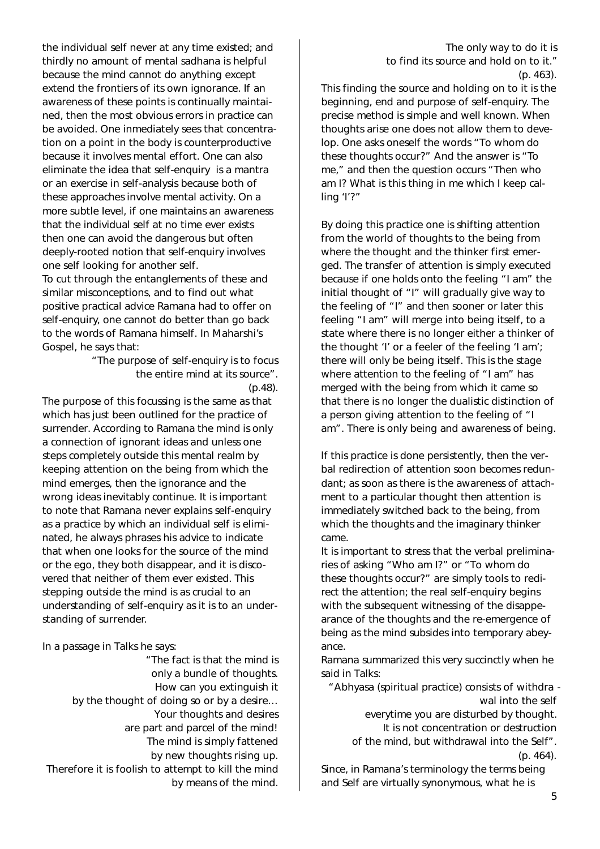the individual self never at any time existed; and thirdly no amount of mental sadhana is helpful because the mind cannot do anything except extend the frontiers of its own ignorance. If an awareness of these points is continually maintained, then the most obvious errors in practice can be avoided. One inmediately sees that concentration on a point in the body is counterproductive because it involves mental effort. One can also eliminate the idea that self-enquiry is a mantra or an exercise in self-analysis because both of these approaches involve mental activity. On a more subtle Ievel, if one maintains an awareness that the individual self at no time ever exists then one can avoid the dangerous but often deeply-rooted notion that self-enquiry involves one self looking for another self.

To cut through the entanglements of these and similar misconceptions, and to find out what positive practical advice Ramana had to offer on self-enquiry, one cannot do better than go back to the words of Ramana himself. In Maharshi's Gospel, he says that:

> *"The purpose of self-enquiry is to focus the entire mind at its source". (p.48).*

The purpose of this focussing is the same as that which has just been outlined for the practice of surrender. According to Ramana the mind is only a connection of ignorant ideas and unless one steps completely outside this mental realm by keeping attention on the being from which the mind emerges, then the ignorance and the wrong ideas inevitably continue. It is important to note that Ramana never explains self-enquiry as a practice by which an individual self is eliminated, he always phrases his advice to indicate that when one looks for the source of the mind or the ego, they both disappear, and it is discovered that neither of them ever existed. This stepping outside the mind is as crucial to an understanding of self-enquiry as it is to an understanding of surrender.

In a passage in Talks he says:

*"The fact is that the mind is only a bundle of thoughts. How can you extinguish it by the thought of doing so or by a desire… Your thoughts and desires are part and parcel of the mind! The mind is simply fattened by new thoughts rising up. Therefore it is foolish to attempt to kill the mind by means of the mind.* 

## *The only way to do it is to find its source and hold on to it.'' (p. 463).*

This finding the source and holding on to it is the beginning, end and purpose of self-enquiry. The precise method is simple and well known. When thoughts arise one does not allow them to develop. One asks oneself the words "To whom do these thoughts occur?" And the answer is "To me," and then the question occurs "Then who am I? What is this thing in me which I keep calling 'I'?"

By doing this practice one is shifting attention from the world of thoughts to the being from where the thought and the thinker first emerged. The transfer of attention is simply executed because if one holds onto the feeling "I am" the initial thought of "I" will gradually give way to the feeling of "I" and then sooner or later this feeling "I am" will merge into being itself, to a state where there is no longer either a thinker of the thought 'I' or a feeler of the feeling 'I am'; there will only be being itself. This is the stage where attention to the feeling of "I am" has merged with the being from which it came so that there is no longer the dualistic distinction of a person giving attention to the feeling of "I am". There is only being and awareness of being.

lf this practice is done persistently, then the verbal redirection of attention soon becomes redundant; as soon as there is the awareness of attachment to a particular thought then attention is immediately switched back to the being, from which the thoughts and the imaginary thinker came.

It is important to stress that the verbal preliminaries of asking "Who am I?" or "To whom do these thoughts occur?" are simply tools to redirect the attention; the real self-enquiry begins with the subsequent witnessing of the disappearance of the thoughts and the re-emergence of being as the mind subsides into temporary abeyance.

Ramana summarized this very succinctly when he said in Talks:

*"Abhyasa (spiritual practice) consists of withdra wal into the self* 

*everytime you are disturbed by thought. It is not concentration or destruction of the mind, but withdrawal into the Self". (p. 464).* 

Since, in Ramana's terminology the terms being and Self are virtually synonymous, what he is